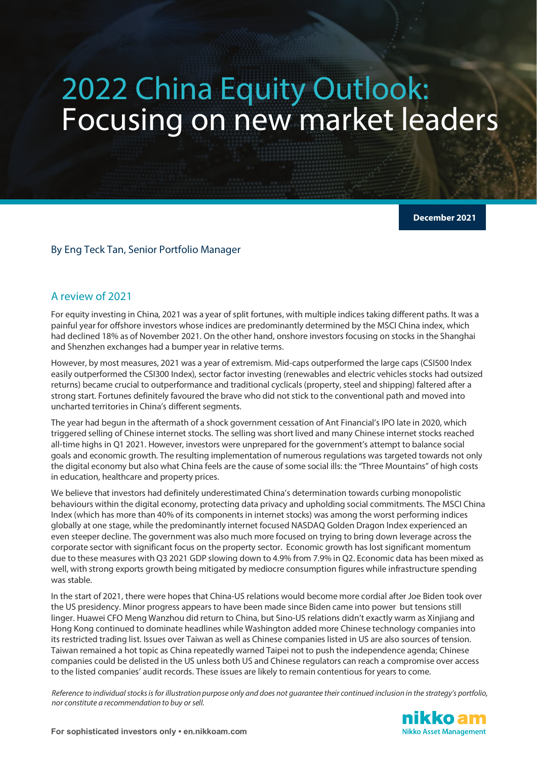# 2022 China Equity Outlook: Focusing on new market leaders

**December 2021**

#### By Eng Teck Tan, Senior Portfolio Manager

#### A review of 2021

For equity investing in China, 2021 was a year of split fortunes, with multiple indices taking different paths. It was a painful year for offshore investors whose indices are predominantly determined by the MSCI China index, which had declined 18% as of November 2021. On the other hand, onshore investors focusing on stocks in the Shanghai and Shenzhen exchanges had a bumper year in relative terms.

However, by most measures, 2021 was a year of extremism. Mid-caps outperformed the large caps (CSI500 Index easily outperformed the CSI300 Index), sector factor investing (renewables and electric vehicles stocks had outsized returns) became crucial to outperformance and traditional cyclicals (property, steel and shipping) faltered after a strong start. Fortunes definitely favoured the brave who did not stick to the conventional path and moved into uncharted territories in China's different segments.

The year had begun in the aftermath of a shock government cessation of Ant Financial's IPO late in 2020, which triggered selling of Chinese internet stocks. The selling was short lived and many Chinese internet stocks reached all-time highs in Q1 2021. However, investors were unprepared for the government's attempt to balance social goals and economic growth. The resulting implementation of numerous regulations was targeted towards not only the digital economy but also what China feels are the cause of some social ills: the "Three Mountains" of high costs in education, healthcare and property prices.

We believe that investors had definitely underestimated China's determination towards curbing monopolistic behaviours within the digital economy, protecting data privacy and upholding social commitments. The MSCI China Index (which has more than 40% of its components in internet stocks) was among the worst performing indices globally at one stage, while the predominantly internet focused NASDAQ Golden Dragon Index experienced an even steeper decline. The government was also much more focused on trying to bring down leverage across the corporate sector with significant focus on the property sector. Economic growth has lost significant momentum due to these measures with Q3 2021 GDP slowing down to 4.9% from 7.9% in Q2. Economic data has been mixed as well, with strong exports growth being mitigated by mediocre consumption figures while infrastructure spending was stable.

In the start of 2021, there were hopes that China-US relations would become more cordial after Joe Biden took over the US presidency. Minor progress appears to have been made since Biden came into power but tensions still linger. Huawei CFO Meng Wanzhou did return to China, but Sino-US relations didn't exactly warm as Xinjiang and Hong Kong continued to dominate headlines while Washington added more Chinese technology companies into its restricted trading list. Issues over Taiwan as well as Chinese companies listed in US are also sources of tension. Taiwan remained a hot topic as China repeatedly warned Taipei not to push the independence agenda; Chinese companies could be delisted in the US unless both US and Chinese regulators can reach a compromise over access to the listed companies' audit records. These issues are likely to remain contentious for years to come.

*Reference to individual stocks is for illustration purpose only and does not guarantee their continued inclusion in the strategy's portfolio, nor constitute a recommendation to buy or sell.*

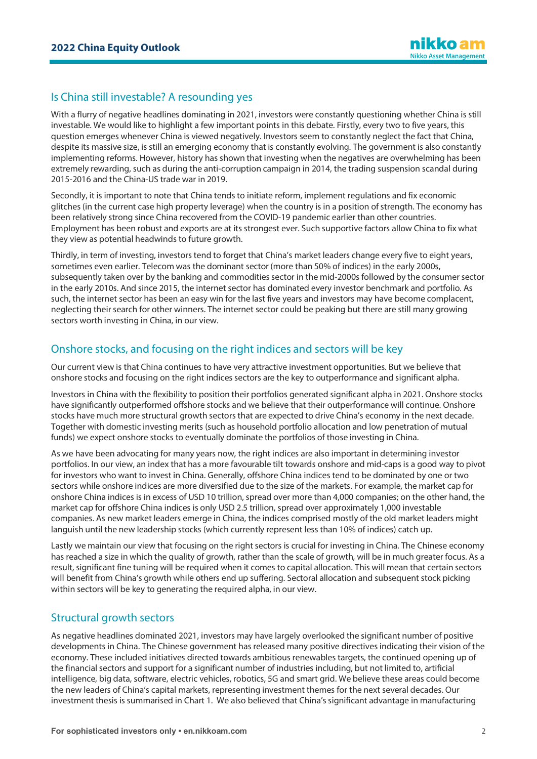# Is China still investable? A resounding yes

With a flurry of negative headlines dominating in 2021, investors were constantly questioning whether China is still investable. We would like to highlight a few important points in this debate. Firstly, every two to five years, this question emerges whenever China is viewed negatively. Investors seem to constantly neglect the fact that China, despite its massive size, is still an emerging economy that is constantly evolving. The government is also constantly implementing reforms. However, history has shown that investing when the negatives are overwhelming has been extremely rewarding, such as during the anti-corruption campaign in 2014, the trading suspension scandal during 2015-2016 and the China-US trade war in 2019.

Secondly, it is important to note that China tends to initiate reform, implement regulations and fix economic glitches (in the current case high property leverage) when the country is in a position of strength. The economy has been relatively strong since China recovered from the COVID-19 pandemic earlier than other countries. Employment has been robust and exports are at its strongest ever. Such supportive factors allow China to fix what they view as potential headwinds to future growth.

Thirdly, in term of investing, investors tend to forget that China's market leaders change every five to eight years, sometimes even earlier. Telecom was the dominant sector (more than 50% of indices) in the early 2000s, subsequently taken over by the banking and commodities sector in the mid-2000s followed by the consumer sector in the early 2010s. And since 2015, the internet sector has dominated every investor benchmark and portfolio. As such, the internet sector has been an easy win for the last five years and investors may have become complacent, neglecting their search for other winners. The internet sector could be peaking but there are still many growing sectors worth investing in China, in our view.

## Onshore stocks, and focusing on the right indices and sectors will be key

Our current view is that China continues to have very attractive investment opportunities. But we believe that onshore stocks and focusing on the right indices sectors are the key to outperformance and significant alpha.

Investors in China with the flexibility to position their portfolios generated significant alpha in 2021. Onshore stocks have significantly outperformed offshore stocks and we believe that their outperformance will continue. Onshore stocks have much more structural growth sectors that are expected to drive China's economy in the next decade. Together with domestic investing merits (such as household portfolio allocation and low penetration of mutual funds) we expect onshore stocks to eventually dominate the portfolios of those investing in China.

As we have been advocating for many years now, the right indices are also important in determining investor portfolios. In our view, an index that has a more favourable tilt towards onshore and mid-caps is a good way to pivot for investors who want to invest in China. Generally, offshore China indices tend to be dominated by one or two sectors while onshore indices are more diversified due to the size of the markets. For example, the market cap for onshore China indices is in excess of USD 10 trillion, spread over more than 4,000 companies; on the other hand, the market cap for offshore China indices is only USD 2.5 trillion, spread over approximately 1,000 investable companies. As new market leaders emerge in China, the indices comprised mostly of the old market leaders might languish until the new leadership stocks (which currently represent less than 10% of indices) catch up.

Lastly we maintain our view that focusing on the right sectors is crucial for investing in China. The Chinese economy has reached a size in which the quality of growth, rather than the scale of growth, will be in much greater focus. As a result, significant fine tuning will be required when it comes to capital allocation. This will mean that certain sectors will benefit from China's growth while others end up suffering. Sectoral allocation and subsequent stock picking within sectors will be key to generating the required alpha, in our view.

## Structural growth sectors

As negative headlines dominated 2021, investors may have largely overlooked the significant number of positive developments in China. The Chinese government has released many positive directives indicating their vision of the economy. These included initiatives directed towards ambitious renewables targets, the continued opening up of the financial sectors and support for a significant number of industries including, but not limited to, artificial intelligence, big data, software, electric vehicles, robotics, 5G and smart grid. We believe these areas could become the new leaders of China's capital markets, representing investment themes for the next several decades. Our investment thesis is summarised in Chart 1. We also believed that China's significant advantage in manufacturing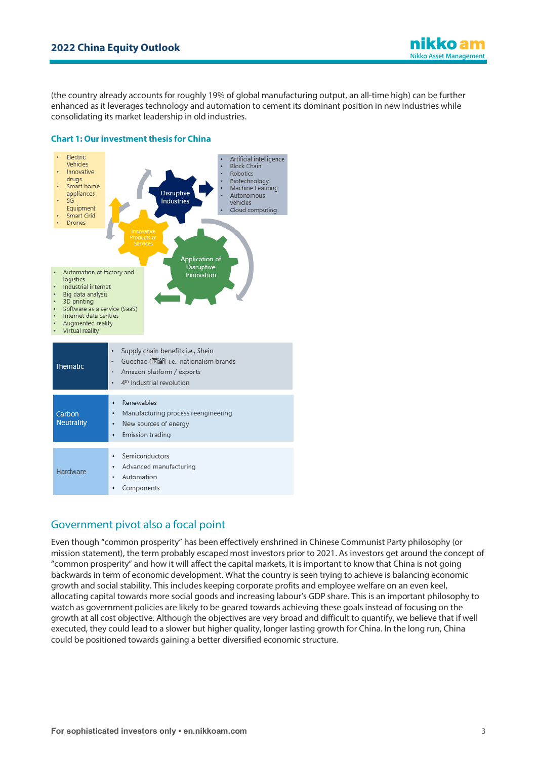(the country already accounts for roughly 19% of global manufacturing output, an all-time high) can be further enhanced as it leverages technology and automation to cement its dominant position in new industries while consolidating its market leadership in old industries.

#### **Chart 1: Our investment thesis for China**



# Government pivot also a focal point

Even though "common prosperity" has been effectively enshrined in Chinese Communist Party philosophy (or mission statement), the term probably escaped most investors prior to 2021. As investors get around the concept of "common prosperity" and how it will affect the capital markets, it is important to know that China is not going backwards in term of economic development. What the country is seen trying to achieve is balancing economic growth and social stability. This includes keeping corporate profits and employee welfare on an even keel, allocating capital towards more social goods and increasing labour's GDP share. This is an important philosophy to watch as government policies are likely to be geared towards achieving these goals instead of focusing on the growth at all cost objective. Although the objectives are very broad and difficult to quantify, we believe that if well executed, they could lead to a slower but higher quality, longer lasting growth for China. In the long run, China could be positioned towards gaining a better diversified economic structure.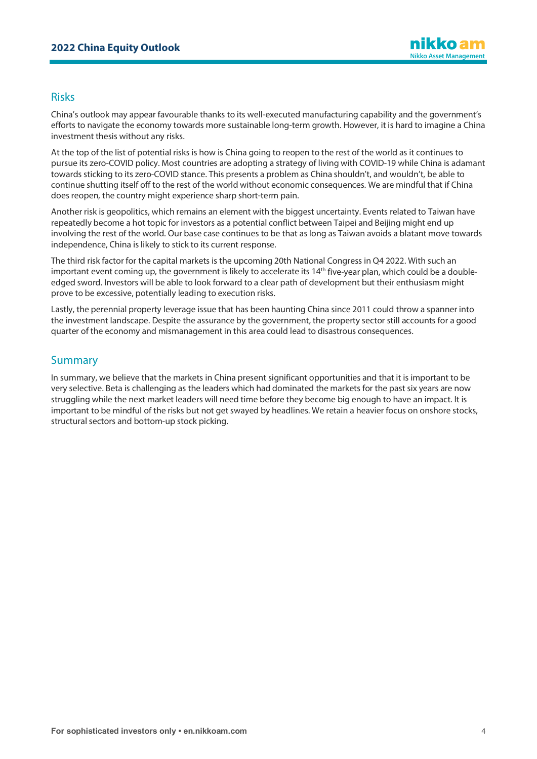## Risks

China's outlook may appear favourable thanks to its well-executed manufacturing capability and the government's efforts to navigate the economy towards more sustainable long-term growth. However, it is hard to imagine a China investment thesis without any risks.

At the top of the list of potential risks is how is China going to reopen to the rest of the world as it continues to pursue its zero-COVID policy. Most countries are adopting a strategy of living with COVID-19 while China is adamant towards sticking to its zero-COVID stance. This presents a problem as China shouldn't, and wouldn't, be able to continue shutting itself off to the rest of the world without economic consequences. We are mindful that if China does reopen, the country might experience sharp short-term pain.

Another risk is geopolitics, which remains an element with the biggest uncertainty. Events related to Taiwan have repeatedly become a hot topic for investors as a potential conflict between Taipei and Beijing might end up involving the rest of the world. Our base case continues to be that as long as Taiwan avoids a blatant move towards independence, China is likely to stick to its current response.

The third risk factor for the capital markets is the upcoming 20th National Congress in Q4 2022. With such an important event coming up, the government is likely to accelerate its  $14<sup>th</sup>$  five-year plan, which could be a doubleedged sword. Investors will be able to look forward to a clear path of development but their enthusiasm might prove to be excessive, potentially leading to execution risks.

Lastly, the perennial property leverage issue that has been haunting China since 2011 could throw a spanner into the investment landscape. Despite the assurance by the government, the property sector still accounts for a good quarter of the economy and mismanagement in this area could lead to disastrous consequences.

## **Summary**

In summary, we believe that the markets in China present significant opportunities and that it is important to be very selective. Beta is challenging as the leaders which had dominated the markets for the past six years are now struggling while the next market leaders will need time before they become big enough to have an impact. It is important to be mindful of the risks but not get swayed by headlines. We retain a heavier focus on onshore stocks, structural sectors and bottom-up stock picking.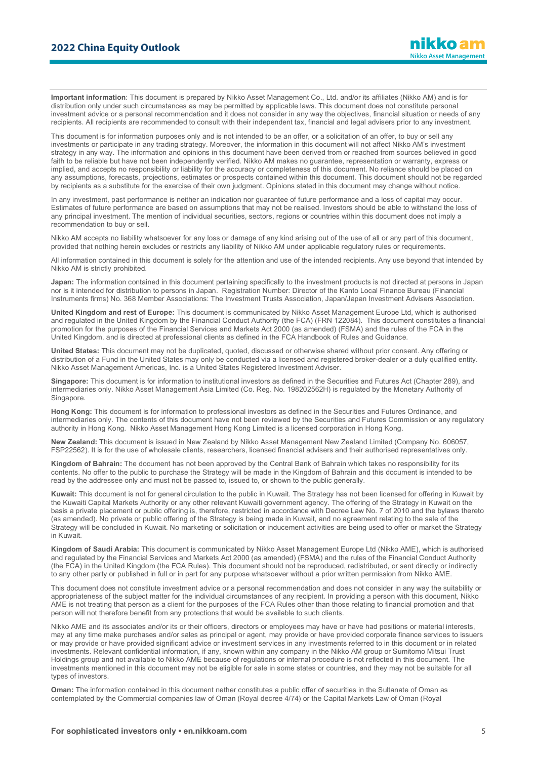**Important information**: This document is prepared by Nikko Asset Management Co., Ltd. and/or its affiliates (Nikko AM) and is for distribution only under such circumstances as may be permitted by applicable laws. This document does not constitute personal investment advice or a personal recommendation and it does not consider in any way the objectives, financial situation or needs of any recipients. All recipients are recommended to consult with their independent tax, financial and legal advisers prior to any investment.

This document is for information purposes only and is not intended to be an offer, or a solicitation of an offer, to buy or sell any investments or participate in any trading strategy. Moreover, the information in this document will not affect Nikko AM's investment strategy in any way. The information and opinions in this document have been derived from or reached from sources believed in good faith to be reliable but have not been independently verified. Nikko AM makes no guarantee, representation or warranty, express or implied, and accepts no responsibility or liability for the accuracy or completeness of this document. No reliance should be placed on any assumptions, forecasts, projections, estimates or prospects contained within this document. This document should not be regarded by recipients as a substitute for the exercise of their own judgment. Opinions stated in this document may change without notice.

In any investment, past performance is neither an indication nor guarantee of future performance and a loss of capital may occur. Estimates of future performance are based on assumptions that may not be realised. Investors should be able to withstand the loss of any principal investment. The mention of individual securities, sectors, regions or countries within this document does not imply a recommendation to buy or sell.

Nikko AM accepts no liability whatsoever for any loss or damage of any kind arising out of the use of all or any part of this document, provided that nothing herein excludes or restricts any liability of Nikko AM under applicable regulatory rules or requirements.

All information contained in this document is solely for the attention and use of the intended recipients. Any use beyond that intended by Nikko AM is strictly prohibited.

**Japan:** The information contained in this document pertaining specifically to the investment products is not directed at persons in Japan nor is it intended for distribution to persons in Japan. Registration Number: Director of the Kanto Local Finance Bureau (Financial Instruments firms) No. 368 Member Associations: The Investment Trusts Association, Japan/Japan Investment Advisers Association.

**United Kingdom and rest of Europe:** This document is communicated by Nikko Asset Management Europe Ltd, which is authorised and regulated in the United Kingdom by the Financial Conduct Authority (the FCA) (FRN 122084). This document constitutes a financial promotion for the purposes of the Financial Services and Markets Act 2000 (as amended) (FSMA) and the rules of the FCA in the United Kingdom, and is directed at professional clients as defined in the FCA Handbook of Rules and Guidance.

**United States:** This document may not be duplicated, quoted, discussed or otherwise shared without prior consent. Any offering or distribution of a Fund in the United States may only be conducted via a licensed and registered broker-dealer or a duly qualified entity. Nikko Asset Management Americas, Inc. is a United States Registered Investment Adviser.

**Singapore:** This document is for information to institutional investors as defined in the Securities and Futures Act (Chapter 289), and intermediaries only. Nikko Asset Management Asia Limited (Co. Reg. No. 198202562H) is regulated by the Monetary Authority of **Singapore** 

**Hong Kong:** This document is for information to professional investors as defined in the Securities and Futures Ordinance, and intermediaries only. The contents of this document have not been reviewed by the Securities and Futures Commission or any regulatory authority in Hong Kong. Nikko Asset Management Hong Kong Limited is a licensed corporation in Hong Kong.

**New Zealand:** This document is issued in New Zealand by Nikko Asset Management New Zealand Limited (Company No. 606057, FSP22562). It is for the use of wholesale clients, researchers, licensed financial advisers and their authorised representatives only.

**Kingdom of Bahrain:** The document has not been approved by the Central Bank of Bahrain which takes no responsibility for its contents. No offer to the public to purchase the Strategy will be made in the Kingdom of Bahrain and this document is intended to be read by the addressee only and must not be passed to, issued to, or shown to the public generally.

**Kuwait:** This document is not for general circulation to the public in Kuwait. The Strategy has not been licensed for offering in Kuwait by the Kuwaiti Capital Markets Authority or any other relevant Kuwaiti government agency. The offering of the Strategy in Kuwait on the basis a private placement or public offering is, therefore, restricted in accordance with Decree Law No. 7 of 2010 and the bylaws thereto (as amended). No private or public offering of the Strategy is being made in Kuwait, and no agreement relating to the sale of the Strategy will be concluded in Kuwait. No marketing or solicitation or inducement activities are being used to offer or market the Strategy in Kuwait.

**Kingdom of Saudi Arabia:** This document is communicated by Nikko Asset Management Europe Ltd (Nikko AME), which is authorised and regulated by the Financial Services and Markets Act 2000 (as amended) (FSMA) and the rules of the Financial Conduct Authority (the FCA) in the United Kingdom (the FCA Rules). This document should not be reproduced, redistributed, or sent directly or indirectly to any other party or published in full or in part for any purpose whatsoever without a prior written permission from Nikko AME.

This document does not constitute investment advice or a personal recommendation and does not consider in any way the suitability or appropriateness of the subject matter for the individual circumstances of any recipient. In providing a person with this document, Nikko AME is not treating that person as a client for the purposes of the FCA Rules other than those relating to financial promotion and that person will not therefore benefit from any protections that would be available to such clients.

Nikko AME and its associates and/or its or their officers, directors or employees may have or have had positions or material interests, may at any time make purchases and/or sales as principal or agent, may provide or have provided corporate finance services to issuers or may provide or have provided significant advice or investment services in any investments referred to in this document or in related investments. Relevant confidential information, if any, known within any company in the Nikko AM group or Sumitomo Mitsui Trust Holdings group and not available to Nikko AME because of regulations or internal procedure is not reflected in this document. The investments mentioned in this document may not be eligible for sale in some states or countries, and they may not be suitable for all types of investors.

**Oman:** The information contained in this document nether constitutes a public offer of securities in the Sultanate of Oman as contemplated by the Commercial companies law of Oman (Royal decree 4/74) or the Capital Markets Law of Oman (Royal